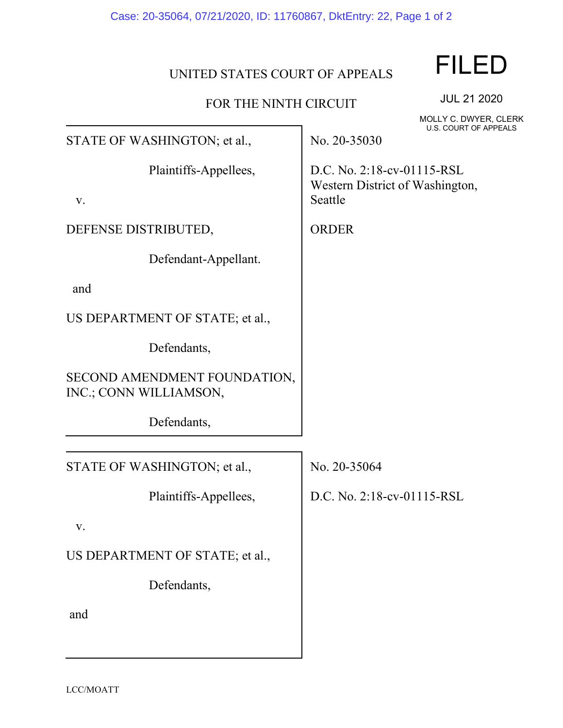## UNITED STATES COURT OF APPEALS

## FOR THE NINTH CIRCUIT

JUL 21 2020 MOLLY C. DWYER, CLERK U.S. COURT OF APPEALS

STATE OF WASHINGTON; et al.,

Plaintiffs-Appellees,

v.

DEFENSE DISTRIBUTED,

Defendant-Appellant.

and

US DEPARTMENT OF STATE; et al.,

Defendants,

SECOND AMENDMENT FOUNDATION, INC.; CONN WILLIAMSON,

Defendants,

STATE OF WASHINGTON; et al.,

Plaintiffs-Appellees,

v.

US DEPARTMENT OF STATE; et al.,

Defendants,

and

No. 20-35030

D.C. No. 2:18-cv-01115-RSL Western District of Washington, Seattle

ORDER

No. 20-35064

D.C. No. 2:18-cv-01115-RSL

## FILED